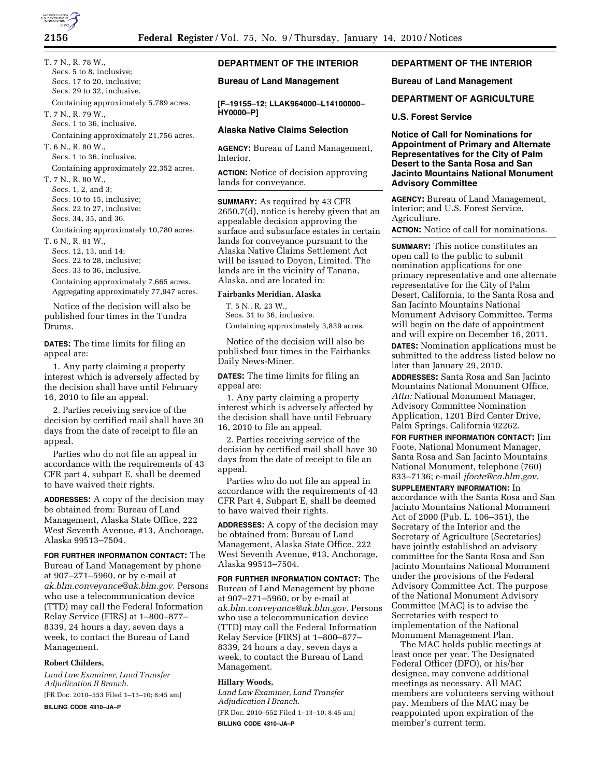T. 7 N., R. 78 W., Secs. 5 to 8, inclusive; Secs. 17 to 20, inclusive; Secs. 29 to 32, inclusive. Containing approximately 5,789 acres. T. 7 N., R. 79 W., Secs. 1 to 36, inclusive. Containing approximately 21,756 acres. T. 6 N., R. 80 W., Secs. 1 to 36, inclusive. Containing approximately 22,352 acres. T. 7 N., R. 80 W., Secs. 1, 2, and 3; Secs. 10 to 15, inclusive; Secs. 22 to 27, inclusive; Secs. 34, 35, and 36. Containing approximately 10,780 acres. T. 6 N., R. 81 W., Secs. 12, 13, and 14; Secs. 22 to 28, inclusive; Secs. 33 to 36, inclusive. Containing approximately 7,665 acres. Aggregating approximately 77,947 acres.

Notice of the decision will also be published four times in the Tundra Drums.

**DATES:** The time limits for filing an appeal are:

1. Any party claiming a property interest which is adversely affected by the decision shall have until February 16, 2010 to file an appeal.

2. Parties receiving service of the decision by certified mail shall have 30 days from the date of receipt to file an appeal.

Parties who do not file an appeal in accordance with the requirements of 43 CFR part 4, subpart E, shall be deemed to have waived their rights.

**ADDRESSES:** A copy of the decision may be obtained from: Bureau of Land Management, Alaska State Office, 222 West Seventh Avenue, #13, Anchorage, Alaska 99513–7504.

**FOR FURTHER INFORMATION CONTACT:** The Bureau of Land Management by phone at 907–271–5960, or by e-mail at *ak.blm.conveyance@ak.blm.gov*. Persons who use a telecommunication device (TTD) may call the Federal Information Relay Service (FIRS) at 1–800–877– 8339, 24 hours a day, seven days a week, to contact the Bureau of Land Management.

## **Robert Childers,**

*Land Law Examiner, Land Transfer Adjudication II Branch.*  [FR Doc. 2010–553 Filed 1–13–10; 8:45 am] **BILLING CODE 4310–JA–P** 

# **DEPARTMENT OF THE INTERIOR**

#### **Bureau of Land Management**

**[F–19155–12; LLAK964000–L14100000– HY0000–P]** 

## **Alaska Native Claims Selection**

**AGENCY:** Bureau of Land Management, Interior.

**ACTION:** Notice of decision approving lands for conveyance.

**SUMMARY:** As required by 43 CFR 2650.7(d), notice is hereby given that an appealable decision approving the surface and subsurface estates in certain lands for conveyance pursuant to the Alaska Native Claims Settlement Act will be issued to Doyon, Limited. The lands are in the vicinity of Tanana, Alaska, and are located in:

#### **Fairbanks Meridian, Alaska**

T. 5 N., R. 23 W., Secs. 31 to 36, inclusive. Containing approximately 3,839 acres.

Notice of the decision will also be published four times in the Fairbanks Daily News-Miner.

**DATES:** The time limits for filing an appeal are:

1. Any party claiming a property interest which is adversely affected by the decision shall have until February 16, 2010 to file an appeal.

2. Parties receiving service of the decision by certified mail shall have 30 days from the date of receipt to file an appeal.

Parties who do not file an appeal in accordance with the requirements of 43 CFR Part 4, Subpart E, shall be deemed to have waived their rights.

**ADDRESSES:** A copy of the decision may be obtained from: Bureau of Land Management, Alaska State Office, 222 West Seventh Avenue, #13, Anchorage, Alaska 99513–7504.

**FOR FURTHER INFORMATION CONTACT:** The Bureau of Land Management by phone at 907–271–5960, or by e-mail at *ak.blm.conveyance@ak.blm.gov.* Persons who use a telecommunication device (TTD) may call the Federal Information Relay Service (FIRS) at 1–800–877– 8339, 24 hours a day, seven days a week, to contact the Bureau of Land Management.

## **Hillary Woods,**

*Land Law Examiner, Land Transfer Adjudication I Branch.*  [FR Doc. 2010–552 Filed 1–13–10; 8:45 am] **BILLING CODE 4310–JA–P** 

# **DEPARTMENT OF THE INTERIOR**

#### **Bureau of Land Management**

# **DEPARTMENT OF AGRICULTURE**

**U.S. Forest Service** 

**Notice of Call for Nominations for Appointment of Primary and Alternate Representatives for the City of Palm Desert to the Santa Rosa and San Jacinto Mountains National Monument Advisory Committee** 

**AGENCY:** Bureau of Land Management, Interior; and U.S. Forest Service, Agriculture.

**ACTION:** Notice of call for nominations.

**SUMMARY:** This notice constitutes an open call to the public to submit nomination applications for one primary representative and one alternate representative for the City of Palm Desert, California, to the Santa Rosa and San Jacinto Mountains National Monument Advisory Committee. Terms will begin on the date of appointment and will expire on December 16, 2011.

**DATES:** Nomination applications must be submitted to the address listed below no later than January 29, 2010.

**ADDRESSES:** Santa Rosa and San Jacinto Mountains National Monument Office, *Attn:* National Monument Manager, Advisory Committee Nomination Application, 1201 Bird Center Drive, Palm Springs, California 92262.

**FOR FURTHER INFORMATION CONTACT:** Jim Foote, National Monument Manager, Santa Rosa and San Jacinto Mountains National Monument, telephone (760) 833–7136; e-mail *jfoote@ca.blm.gov.* 

**SUPPLEMENTARY INFORMATION:** In accordance with the Santa Rosa and San Jacinto Mountains National Monument Act of 2000 (Pub. L. 106–351), the Secretary of the Interior and the Secretary of Agriculture (Secretaries) have jointly established an advisory committee for the Santa Rosa and San Jacinto Mountains National Monument under the provisions of the Federal Advisory Committee Act. The purpose of the National Monument Advisory Committee (MAC) is to advise the Secretaries with respect to implementation of the National Monument Management Plan.

The MAC holds public meetings at least once per year. The Designated Federal Officer (DFO), or his/her designee, may convene additional meetings as necessary. All MAC members are volunteers serving without pay. Members of the MAC may be reappointed upon expiration of the member's current term.